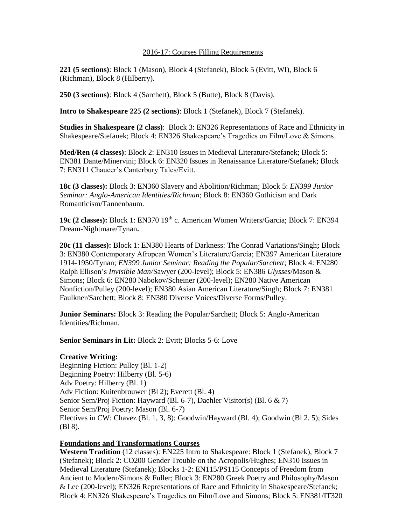#### 2016-17: Courses Filling Requirements

**221 (5 sections)**: Block 1 (Mason), Block 4 (Stefanek), Block 5 (Evitt, WI), Block 6 (Richman), Block 8 (Hilberry).

**250 (3 sections)**: Block 4 (Sarchett), Block 5 (Butte), Block 8 (Davis).

**Intro to Shakespeare 225 (2 sections)**: Block 1 (Stefanek), Block 7 (Stefanek).

**Studies in Shakespeare (2 class)**: Block 3: EN326 Representations of Race and Ethnicity in Shakespeare/Stefanek; Block 4: EN326 Shakespeare's Tragedies on Film/Love & Simons.

**Med/Ren (4 classes)**: Block 2: EN310 Issues in Medieval Literature/Stefanek; Block 5: EN381 Dante/Minervini; Block 6: EN320 Issues in Renaissance Literature/Stefanek; Block 7: EN311 Chaucer's Canterbury Tales/Evitt.

**18c (3 classes):** Block 3: EN360 Slavery and Abolition/Richman; Block 5: *EN399 Junior Seminar: Anglo-American Identities/Richman*; Block 8: EN360 Gothicism and Dark Romanticism/Tannenbaum.

19c (2 **classes):** Block 1: EN370 19<sup>th</sup> c. American Women Writers/Garcia; Block 7: EN394 Dream-Nightmare/Tynan**.**

**20c (11 classes):** Block 1: EN380 Hearts of Darkness: The Conrad Variations/Singh**;** Block 3: EN380 Contemporary Afropean Women's Literature/Garcia; EN397 American Literature 1914-1950/Tynan; *EN399 Junior Seminar: Reading the Popular/Sarchett*; Block 4: EN280 Ralph Ellison's *Invisible Man/*Sawyer (200-level); Block 5: EN386 *Ulysses*/Mason & Simons; Block 6: EN280 Nabokov/Scheiner (200-level); EN280 Native American Nonfiction/Pulley (200-level); EN380 Asian American Literature/Singh; Block 7: EN381 Faulkner/Sarchett; Block 8: EN380 Diverse Voices/Diverse Forms/Pulley.

**Junior Seminars:** Block 3: Reading the Popular/Sarchett; Block 5: Anglo-American Identities/Richman.

#### **Senior Seminars in Lit:** Block 2: Evitt; Blocks 5-6: Love

# **Creative Writing:**

Beginning Fiction: Pulley (Bl. 1-2) Beginning Poetry: Hilberry (Bl. 5-6) Adv Poetry: Hilberry (Bl. 1) Adv Fiction: Kuitenbrouwer (Bl 2); Everett (Bl. 4) Senior Sem/Proj Fiction: Hayward (Bl. 6-7), Daehler Visitor(s) (Bl. 6 & 7) Senior Sem/Proj Poetry: Mason (Bl. 6-7) Electives in CW: Chavez (Bl. 1, 3, 8); Goodwin/Hayward (Bl. 4); Goodwin (Bl 2, 5); Sides (Bl 8).

# **Foundations and Transformations Courses**

**Western Tradition** (12 classes): EN225 Intro to Shakespeare: Block 1 (Stefanek), Block 7 (Stefanek); Block 2: CO200 Gender Trouble on the Acropolis/Hughes; EN310 Issues in Medieval Literature (Stefanek); Blocks 1-2: EN115/PS115 Concepts of Freedom from Ancient to Modern/Simons & Fuller; Block 3: EN280 Greek Poetry and Philosophy/Mason & Lee (200-level); EN326 Representations of Race and Ethnicity in Shakespeare/Stefanek; Block 4: EN326 Shakespeare's Tragedies on Film/Love and Simons; Block 5: EN381/IT320